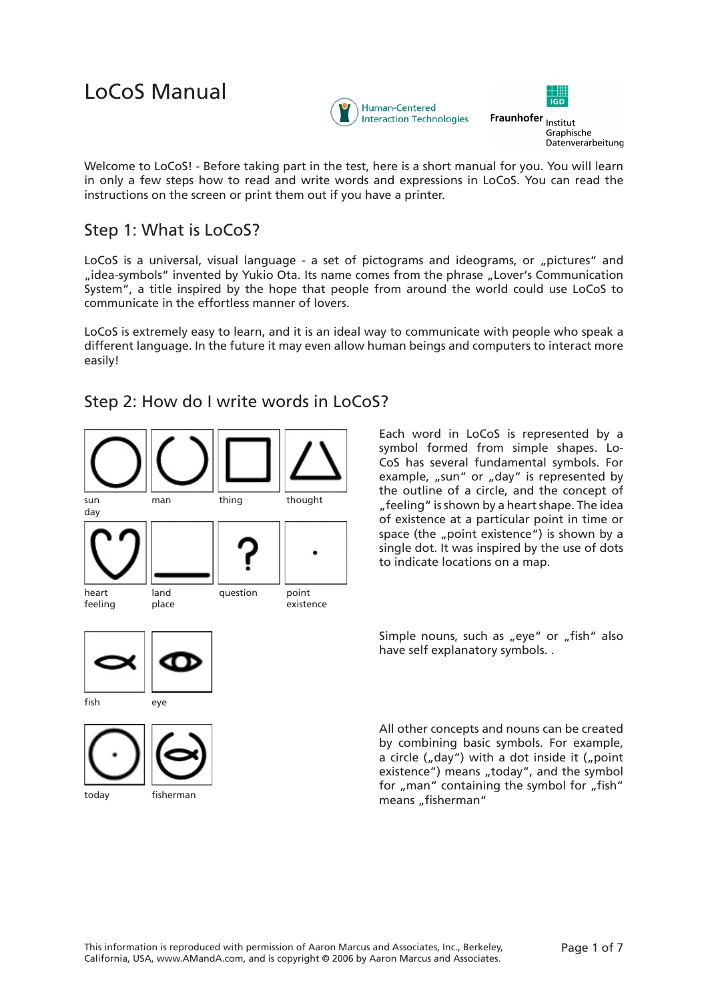



Graphische Datenverarbeitung

Welcome to LoCoS! - Before taking part in the test, here is a short manual for you. You will learn in only a few steps how to read and write words and expressions in LoCoS. You can read the instructions on the screen or print them out if you have a printer.

## Step 1: What is LoCoS?

LoCoS is a universal, visual language - a set of pictograms and ideograms, or "pictures" and "idea-symbols" invented by Yukio Ota. Its name comes from the phrase "Lover's Communication System", a title inspired by the hope that people from around the world could use LoCoS to communicate in the effortless manner of lovers.

LoCoS is extremely easy to learn, and it is an ideal way to communicate with people who speak a different language. In the future it may even allow human beings and computers to interact more easily!

### Step 2: How do I write words in LoCoS?



symbol formed from simple shapes. Lo-CoS has several fundamental symbols. For example, "sun" or "day" is represented by the outline of a circle, and the concept of "feeling" is shown by a heart shape. The idea of existence at a particular point in time or space (the  $n$  point existence") is shown by a single dot. It was inspired by the use of dots to indicate locations on a map.

Each word in LoCoS is represented by a

Simple nouns, such as "eye" or "fish" also have self explanatory symbols. .

All other concepts and nouns can be created by combining basic symbols. For example, a circle ( $\mu$ day") with a dot inside it ( $\mu$ point existence") means "today", and the symbol for "man" containing the symbol for "fish" means "fisherman"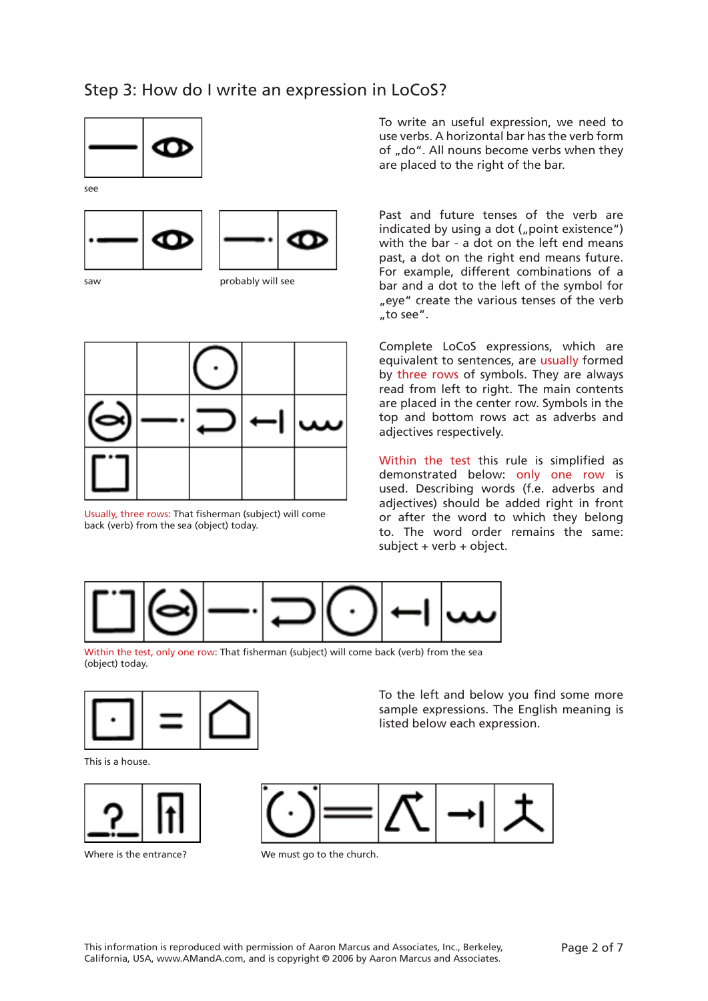#### Step 3: How do I write an expression in LoCoS?



see





saw probably will see



Usually, three rows: That fisherman (subject) will come back (verb) from the sea (object) today.

To write an useful expression, we need to use verbs. A horizontal bar has the verb form of "do". All nouns become verbs when they are placed to the right of the bar.

Past and future tenses of the verb are indicated by using a dot ("point existence") with the bar - a dot on the left end means past, a dot on the right end means future. For example, different combinations of a bar and a dot to the left of the symbol for "eye" create the various tenses of the verb "to see".

Complete LoCoS expressions, which are equivalent to sentences, are usually formed by three rows of symbols. They are always read from left to right. The main contents are placed in the center row. Symbols in the top and bottom rows act as adverbs and adjectives respectively.

Within the test this rule is simplified as demonstrated below: only one row is used. Describing words (f.e. adverbs and adjectives) should be added right in front or after the word to which they belong to. The word order remains the same: subject + verb + object.



Within the test, only one row: That fisherman (subject) will come back (verb) from the sea (object) today.



To the left and below you find some more sample expressions. The English meaning is listed below each expression.

This is a house.





Where is the entrance? We must go to the church.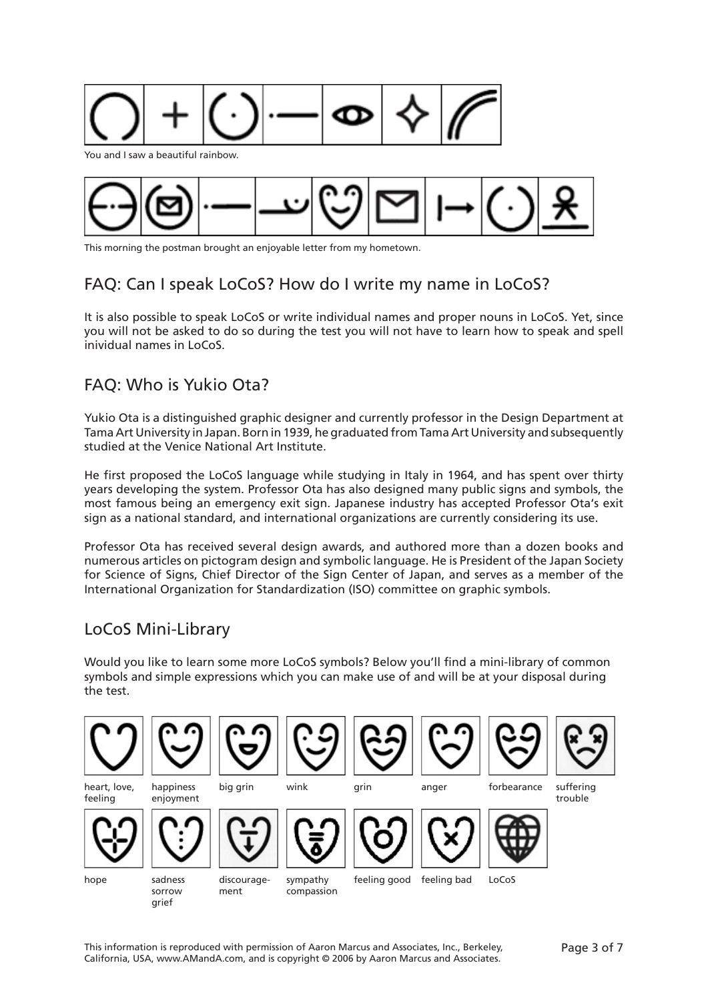

You and I saw a beautiful rainbow.



This morning the postman brought an enjoyable letter from my hometown.

### FAQ: Can I speak LoCoS? How do I write my name in LoCoS?

It is also possible to speak LoCoS or write individual names and proper nouns in LoCoS. Yet, since you will not be asked to do so during the test you will not have to learn how to speak and spell inividual names in LoCoS.

### FAQ: Who is Yukio Ota?

Yukio Ota is a distinguished graphic designer and currently professor in the Design Department at Tama Art University in Japan. Born in 1939, he graduated from Tama Art University and subsequently studied at the Venice National Art Institute.

He first proposed the LoCoS language while studying in Italy in 1964, and has spent over thirty years developing the system. Professor Ota has also designed many public signs and symbols, the most famous being an emergency exit sign. Japanese industry has accepted Professor Ota's exit sign as a national standard, and international organizations are currently considering its use.

Professor Ota has received several design awards, and authored more than a dozen books and numerous articles on pictogram design and symbolic language. He is President of the Japan Society for Science of Signs, Chief Director of the Sign Center of Japan, and serves as a member of the International Organization for Standardization (ISO) committee on graphic symbols.

### LoCoS Mini-Library

Would you like to learn some more LoCoS symbols? Below you'll find a mini-library of common symbols and simple expressions which you can make use of and will be at your disposal during the test.

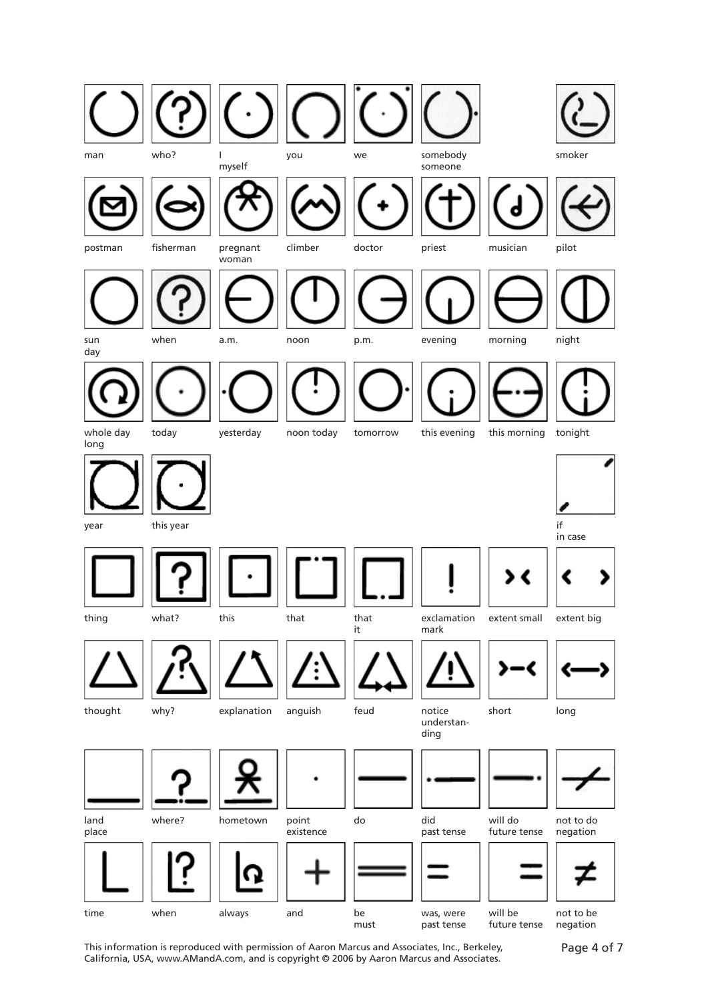

This information is reproduced with permission of Aaron Marcus and Associates, Inc., Berkeley, California, USA, www.AMandA.com, and is copyright © 2006 by Aaron Marcus and Associates.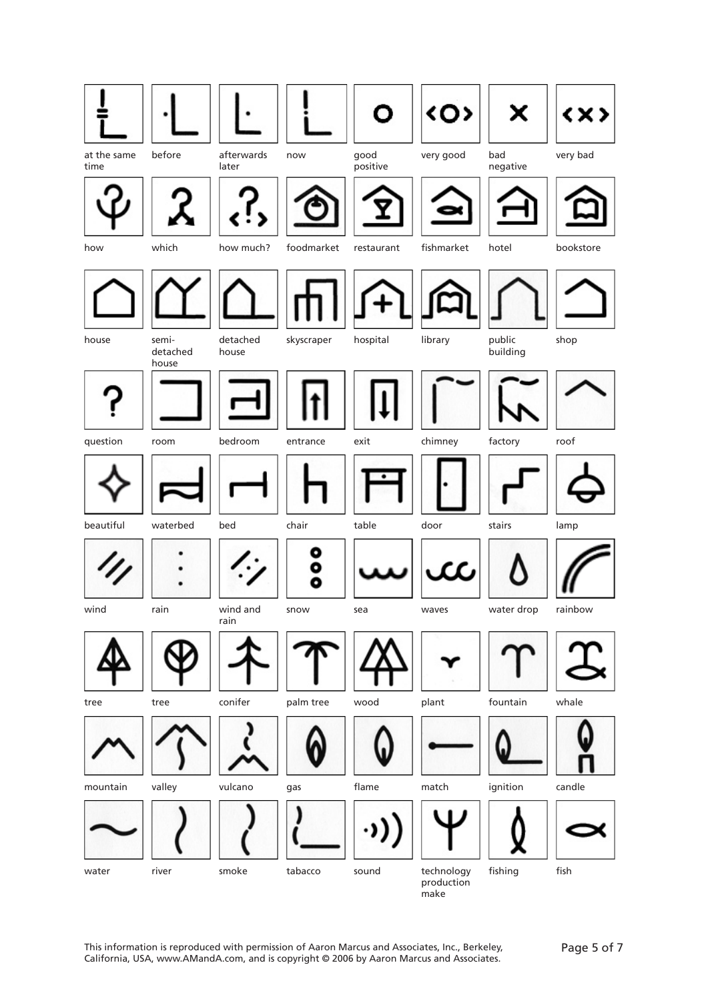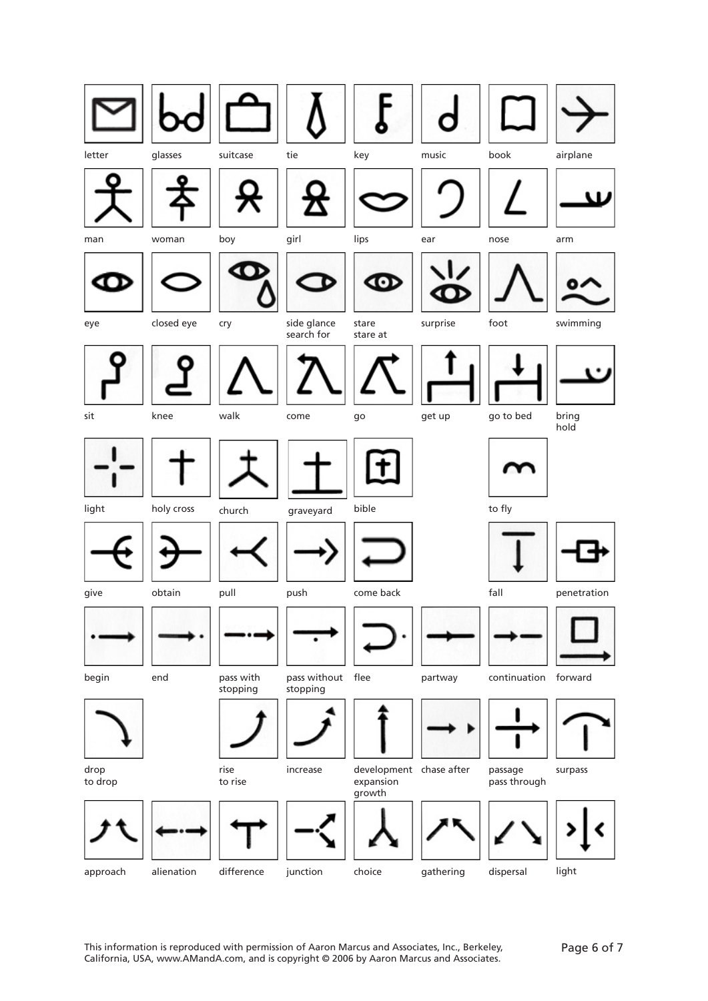